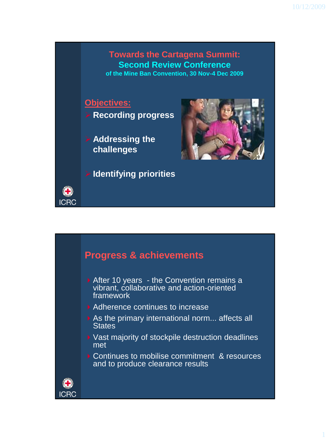#### **Towards the Cartagena Summit: Second Review Conference of the Mine Ban Convention, 30 Nov-4 Dec 2009**

### **Objectives:**

- **Recording progress**
- **Addressing the challenges**





# **Progress & achievements**

- After 10 years the Convention remains a vibrant, collaborative and action-oriented framework
- ▶ Adherence continues to increase
- As the primary international norm... affects all **States**
- ▶ Vast majority of stockpile destruction deadlines met
- ▶ Continues to mobilise commitment & resources and to produce clearance results



**ICRC**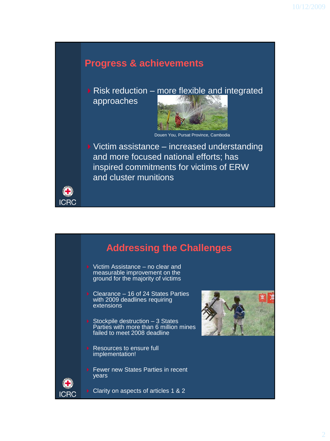### **Progress & achievements**

 $\triangleright$  Risk reduction – more flexible and integrated approaches



Douen You, Pursat Province, Cambodia

 $\triangleright$  Victim assistance – increased understanding and more focused national efforts; has inspired commitments for victims of ERW and cluster munitions



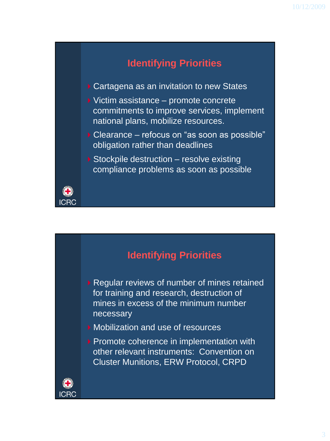## **Identifying Priorities**

- ▶ Cartagena as an invitation to new States
- ▶ Victim assistance promote concrete commitments to improve services, implement national plans, mobilize resources.
- ▶ Clearance refocus on "as soon as possible" obligation rather than deadlines
- ▶ Stockpile destruction resolve existing compliance problems as soon as possible



# **Identifying Priorities**

- ▶ Regular reviews of number of mines retained for training and research, destruction of mines in excess of the minimum number necessary
- Mobilization and use of resources
- **Promote coherence in implementation with** other relevant instruments: Convention on Cluster Munitions, ERW Protocol, CRPD